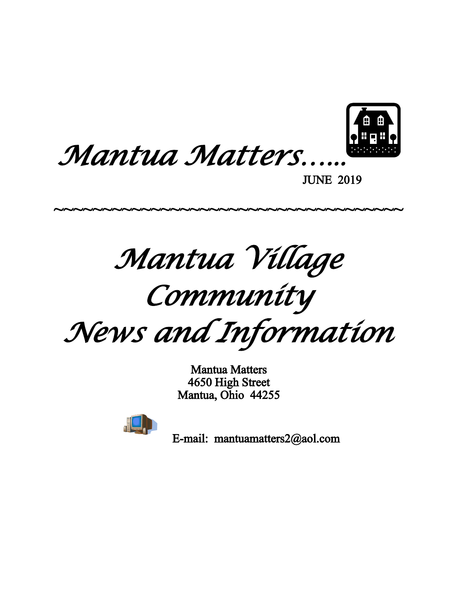



JUNE 2019

*Mantua Village*

~~~~~~~~~~~~~~~~~~~~~~~~~~~~~~~~~~~~~

*Community*

*News and Information*

Mantua Matters 4650 High Street Mantua, Ohio 44255



E-mail: mantuamatters2@aol.com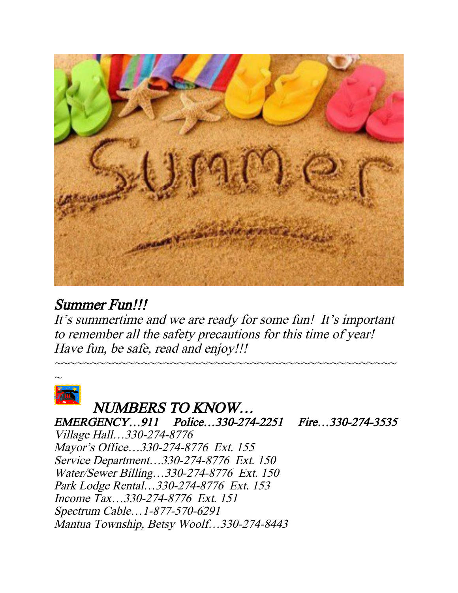

# Summer Fun!!!

It's summertime and we are ready for some fun! It's important to remember all the safety precautions for this time of year! Have fun, be safe, read and enjoy!!!

~~~~~~~~~~~~~~~~~~~~~~~~~~~~~~~~~~~~~~~~~~~~~~~



# NUMBERS TO KNOW…

EMERGENCY…911 Police…330-274-2251 Fire…330-274-3535 Village Hall…330-274-8776 Mayor's Office…330-274-8776 Ext. 155 Service Department…330-274-8776 Ext. 150 Water/Sewer Billing…330-274-8776 Ext. 150 Park Lodge Rental…330-274-8776 Ext. 153 Income Tax…330-274-8776 Ext. 151 Spectrum Cable…1-877-570-6291 Mantua Township, Betsy Woolf…330-274-8443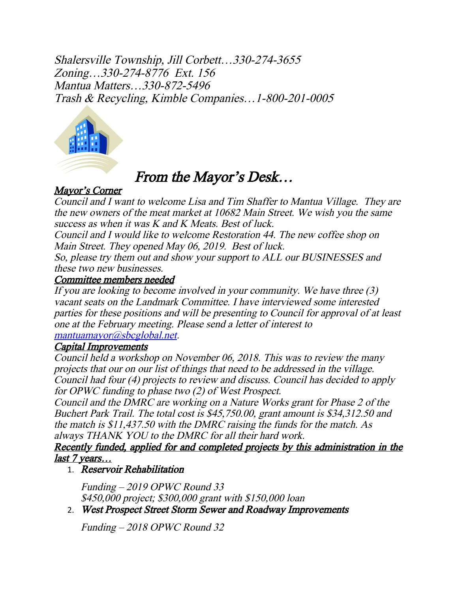Shalersville Township, Jill Corbett…330-274-3655 Zoning…330-274-8776 Ext. 156 Mantua Matters…330-872-5496 Trash & Recycling, Kimble Companies…1-800-201-0005



# From the Mayor's Desk…

## Mayor's Corner

Council and I want to welcome Lisa and Tim Shaffer to Mantua Village. They are the new owners of the meat market at 10682 Main Street. We wish you the same success as when it was K and K Meats. Best of luck.

Council and I would like to welcome Restoration 44. The new coffee shop on Main Street. They opened May 06, 2019. Best of luck.

So, please try them out and show your support to ALL our BUSINESSES and these two new businesses.

### Committee members needed

If you are looking to become involved in your community. We have three (3) vacant seats on the Landmark Committee. I have interviewed some interested parties for these positions and will be presenting to Council for approval of at least one at the February meeting. Please send a letter of interest to [mantuamayor@sbcglobal.net](mailto:mantuamayor@sbcglobal.net).

### Capital Improvements

Council held a workshop on November 06, 2018. This was to review the many projects that our on our list of things that need to be addressed in the village. Council had four (4) projects to review and discuss. Council has decided to apply for OPWC funding to phase two (2) of West Prospect.

Council and the DMRC are working on a Nature Works grant for Phase 2 of the Buchert Park Trail. The total cost is \$45,750.00, grant amount is \$34,312.50 and the match is \$11,437.50 with the DMRC raising the funds for the match. As always THANK YOU to the DMRC for all their hard work.

### Recently funded, applied for and completed projects by this administration in the last 7 years…

## 1. Reservoir Rehabilitation

Funding – 2019 OPWC Round 33 \$450,000 project; \$300,000 grant with \$150,000 loan

2. West Prospect Street Storm Sewer and Roadway Improvements

Funding – 2018 OPWC Round 32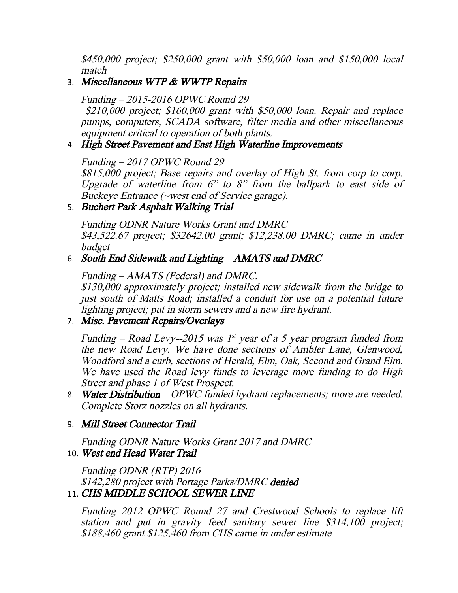\$450,000 project; \$250,000 grant with \$50,000 loan and \$150,000 local match

3. Miscellaneous WTP & WWTP Repairs

Funding – 2015-2016 OPWC Round 29 \$210,000 project; \$160,000 grant with \$50,000 loan. Repair and replace pumps, computers, SCADA software, filter media and other miscellaneous equipment critical to operation of both plants.

#### 4. High Street Pavement and East High Waterline Improvements

Funding – 2017 OPWC Round 29

\$815,000 project; Base repairs and overlay of High St. from corp to corp. Upgrade of waterline from 6" to 8" from the ballpark to east side of Buckeye Entrance (~west end of Service garage).

### 5. Buchert Park Asphalt Walking Trial

Funding ODNR Nature Works Grant and DMRC \$43,522.67 project; \$32642.00 grant; \$12,238.00 DMRC; came in under budget

### 6. South End Sidewalk and Lighting – AMATS and DMRC

Funding – AMATS (Federal) and DMRC. \$130,000 approximately project; installed new sidewalk from the bridge to just south of Matts Road; installed a conduit for use on a potential future lighting project; put in storm sewers and a new fire hydrant.

## 7. Misc. Pavement Repairs/Overlays

Funding – Road Levy--2015 was 1st year of a 5 year program funded from the new Road Levy. We have done sections of Ambler Lane, Glenwood, Woodford and a curb, sections of Herald, Elm, Oak, Second and Grand Elm. We have used the Road levy funds to leverage more funding to do High Street and phase 1 of West Prospect.

- 8. Water Distribution OPWC funded hydrant replacements; more are needed. Complete Storz nozzles on all hydrants.
- 9. Mill Street Connector Trail

Funding ODNR Nature Works Grant 2017 and DMRC

## 10. West end Head Water Trail

Funding ODNR (RTP) 2016 \$142,280 project with Portage Parks/DMRC denied 11. CHS MIDDLE SCHOOL SEWER LINE

Funding <sup>2012</sup> OPWC Round <sup>27</sup> and Crestwood Schools to replace lift station and put in gravity feed sanitary sewer line \$314,100 project; \$188,460 grant \$125,460 from CHS came in under estimate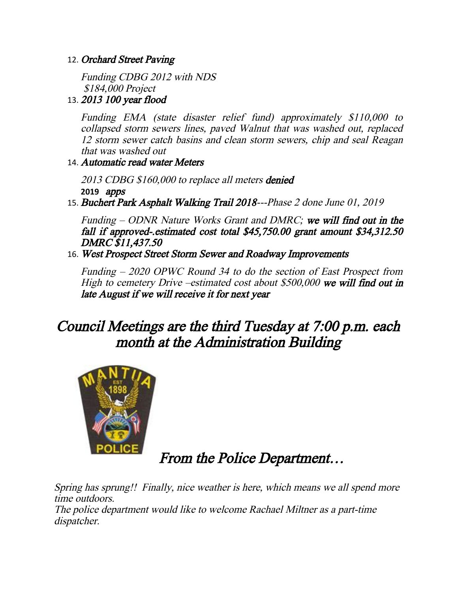#### 12. Orchard Street Paving

Funding CDBG 2012 with NDS \$184,000 Project

#### 13. 2013 100 year flood

Funding EMA (state disaster relief fund) approximately \$110,000 to collapsed storm sewers lines, paved Walnut that was washed out, replaced 12 storm sewer catch basins and clean storm sewers, chip and seal Reagan that was washed out

#### 14. Automatic read water Meters

2013 CDBG \$160,000 to replace all meters **denied 2019** apps

15. Buchert Park Asphalt Walking Trail 2018---Phase 2 done June 01, 2019

Funding  $-$  ODNR Nature Works Grant and DMRC; we will find out in the fall if approved-.estimated cost total \$45,750.00 grant amount \$34,312.50 DMRC \$11,437.50

16. West Prospect Street Storm Sewer and Roadway Improvements

Funding – 2020 OPWC Round 34 to do the section of East Prospect from High to cemetery Drive –estimated cost about \$500,000 we will find out in late August if we will receive it for next year

# Council Meetings are the third Tuesday at 7:00 p.m. each month at the Administration Building



# From the Police Department…

Spring has sprung!! Finally, nice weather is here, which means we all spend more time outdoors. The police department would like to welcome Rachael Miltner as a part-time dispatcher.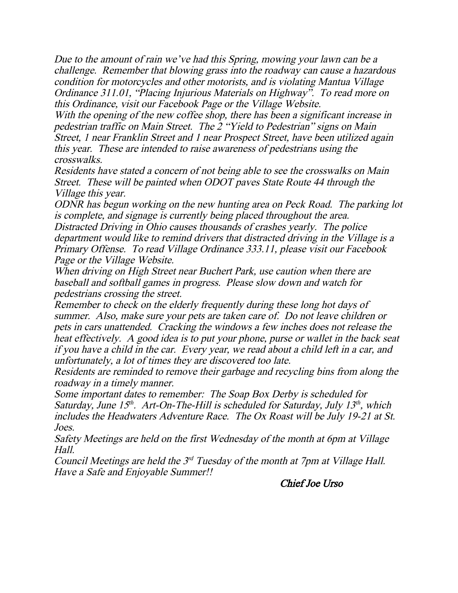Due to the amount of rain we've had this Spring, mowing your lawn can be a challenge. Remember that blowing grass into the roadway can cause a hazardous condition for motorcycles and other motorists, and is violating Mantua Village Ordinance 311.01, "Placing Injurious Materials on Highway". To read more on this Ordinance, visit our Facebook Page or the Village Website.

With the opening of the new coffee shop, there has been a significant increase in pedestrian traffic on Main Street. The 2 "Yield to Pedestrian" signs on Main Street, 1 near Franklin Street and 1 near Prospect Street, have been utilized again this year. These are intended to raise awareness of pedestrians using the crosswalks.

Residents have stated a concern of not being able to see the crosswalks on Main Street. These will be painted when ODOT paves State Route 44 through the Village this year.

ODNR has begun working on the new hunting area on Peck Road. The parking lot is complete, and signage is currently being placed throughout the area. Distracted Driving in Ohio causes thousands of crashes yearly. The police department would like to remind drivers that distracted driving in the Village is a Primary Offense. To read Village Ordinance 333.11, please visit our Facebook Page or the Village Website.

When driving on High Street near Buchert Park, use caution when there are baseball and softball games in progress. Please slow down and watch for pedestrians crossing the street.

Remember to check on the elderly frequently during these long hot days of summer. Also, make sure your pets are taken care of. Do not leave children or pets in cars unattended. Cracking the windows a few inches does not release the heat effectively. A good idea is to put your phone, purse or wallet in the back seat if you have a child in the car. Every year, we read about a child left in a car, and unfortunately, a lot of times they are discovered too late.

Residents are reminded to remove their garbage and recycling bins from along the roadway in a timely manner.

Some important dates to remember: The Soap Box Derby is scheduled for Saturday, June  $15<sup>th</sup>$ . Art-On-The-Hill is scheduled for Saturday, July  $13<sup>th</sup>$ , which includes the Headwaters Adventure Race. The Ox Roast will be July 19-21 at St. Joes.

Safety Meetings are held on the first Wednesday of the month at 6pm at Village Hall.

Council Meetings are held the  $3<sup>rd</sup>$  Tuesday of the month at 7pm at Village Hall. Have a Safe and Enjoyable Summer!!

Chief Joe Urso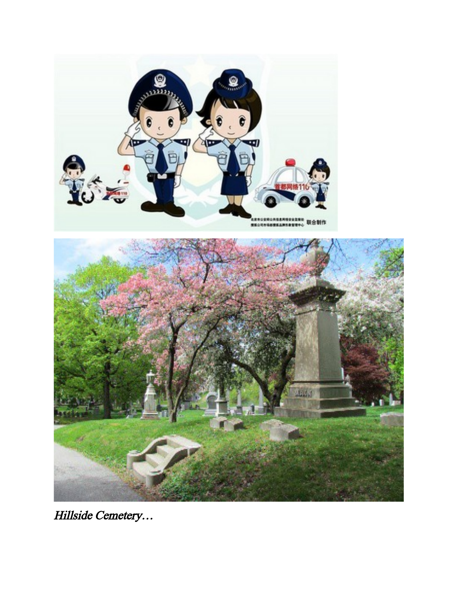



Hillside Cemetery…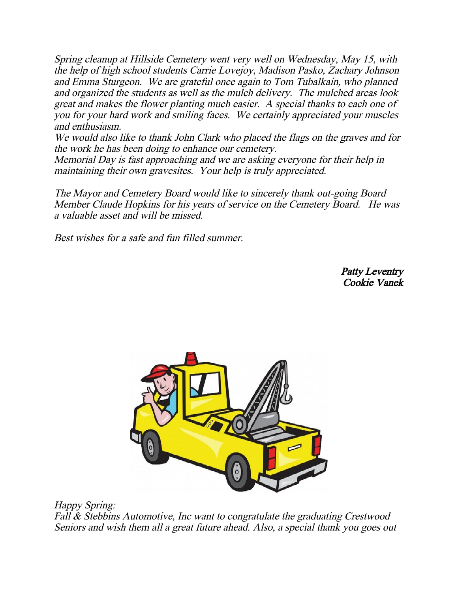Spring cleanup at Hillside Cemetery went very well on Wednesday, May 15, with the help of high school students Carrie Lovejoy, Madison Pasko, Zachary Johnson and Emma Sturgeon. We are grateful once again to Tom Tubalkain, who planned and organized the students as well as the mulch delivery. The mulched areas look great and makes the flower planting much easier. A special thanks to each one of you for your hard work and smiling faces. We certainly appreciated your muscles and enthusiasm.

We would also like to thank John Clark who placed the flags on the graves and for the work he has been doing to enhance our cemetery.

Memorial Day is fast approaching and we are asking everyone for their help in maintaining their own gravesites. Your help is truly appreciated.

The Mayor and Cemetery Board would like to sincerely thank out-going Board Member Claude Hopkins for his years of service on the Cemetery Board. He was a valuable asset and will be missed.

Best wishes for a safe and fun filled summer.

Patty Leventry Cookie Vanek



Happy Spring: Fall & Stebbins Automotive, Inc want to congratulate the graduating Crestwood Seniors and wish them all a great future ahead. Also, a special thank you goes out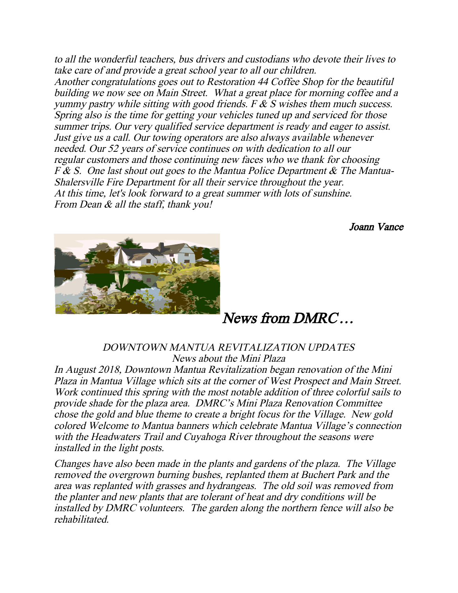to all the wonderful teachers, bus drivers and custodians who devote their lives to take care of and provide a great school year to all our children. Another congratulations goes out to Restoration 44 Coffee Shop for the beautiful building we now see on Main Street. What a great place for morning coffee and a yummy pastry while sitting with good friends. F  $\&$  S wishes them much success. Spring also is the time for getting your vehicles tuned up and serviced for those summer trips. Our very qualified service department is ready and eager to assist. Just give us a call. Our towing operators are also always available whenever needed. Our 52 years of service continues on with dedication to all our regular customers and those continuing new faces who we thank for choosing  $F & S$ . One last shout out goes to the Mantua Police Department  $\& S$  The Mantua-Shalersville Fire Department for all their service throughout the year. At this time, let's look forward to a great summer with lots of sunshine. From Dean & all the staff, thank you!

Joann Vance



News from DMRC…

DOWNTOWN MANTUA REVITALIZATION UPDATES News about the Mini Plaza

In August 2018, Downtown Mantua Revitalization began renovation of the Mini Plaza in Mantua Village which sits at the corner of West Prospect and Main Street. Work continued this spring with the most notable addition of three colorful sails to provide shade for the plaza area. DMRC's Mini Plaza Renovation Committee chose the gold and blue theme to create a bright focus for the Village. New gold colored Welcome to Mantua banners which celebrate Mantua Village's connection with the Headwaters Trail and Cuyahoga River throughout the seasons were installed in the light posts.

Changes have also been made in the plants and gardens of the plaza. The Village removed the overgrown burning bushes, replanted them at Buchert Park and the area was replanted with grasses and hydrangeas. The old soil was removed from the planter and new plants that are tolerant of heat and dry conditions will be installed by DMRC volunteers. The garden along the northern fence will also be rehabilitated.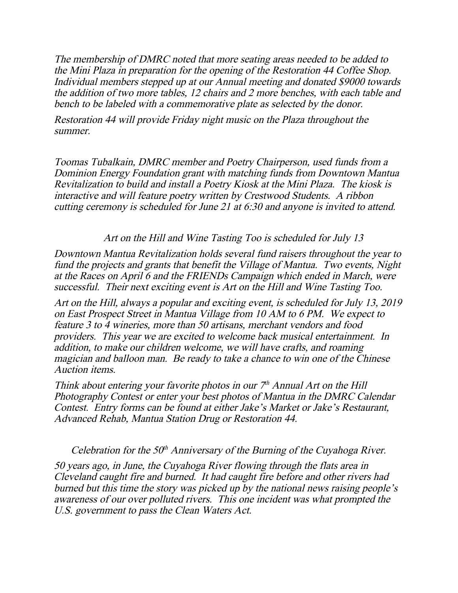The membership of DMRC noted that more seating areas needed to be added to the Mini Plaza in preparation for the opening of the Restoration 44 Coffee Shop. Individual members stepped up at our Annual meeting and donated \$9000 towards the addition of two more tables, 12 chairs and 2 more benches, with each table and bench to be labeled with a commemorative plate as selected by the donor.

Restoration 44 will provide Friday night music on the Plaza throughout the summer.

Toomas Tubalkain, DMRC member and Poetry Chairperson, used funds from a Dominion Energy Foundation grant with matching funds from Downtown Mantua Revitalization to build and install a Poetry Kiosk at the Mini Plaza. The kiosk is interactive and will feature poetry written by Crestwood Students. A ribbon cutting ceremony is scheduled for June 21 at 6:30 and anyone is invited to attend.

#### Art on the Hill and Wine Tasting Too is scheduled for July 13

Downtown Mantua Revitalization holds several fund raisers throughout the year to fund the projects and grants that benefit the Village of Mantua. Two events, Night at the Races on April 6 and the FRIENDs Campaign which ended in March, were successful. Their next exciting event is Art on the Hill and Wine Tasting Too.

Art on the Hill, always a popular and exciting event, is scheduled for July 13, 2019 on East Prospect Street in Mantua Village from 10 AM to 6 PM. We expect to feature 3 to 4 wineries, more than 50 artisans, merchant vendors and food providers. This year we are excited to welcome back musical entertainment. In addition, to make our children welcome, we will have crafts, and roaming magician and balloon man. Be ready to take a chance to win one of the Chinese Auction items.

Think about entering your favorite photos in our  $7<sup>th</sup>$  Annual Art on the Hill Photography Contest or enter your best photos of Mantua in the DMRC Calendar Contest. Entry forms can be found at either Jake's Market or Jake's Restaurant, Advanced Rehab, Mantua Station Drug or Restoration 44.

Celebration for the  $50<sup>th</sup>$  Anniversary of the Burning of the Cuyahoga River.

50 years ago, in June, the Cuyahoga River flowing through the flats area in Cleveland caught fire and burned. It had caught fire before and other rivers had burned but this time the story was picked up by the national news raising people's awareness of our over polluted rivers. This one incident was what prompted the U.S. government to pass the Clean Waters Act.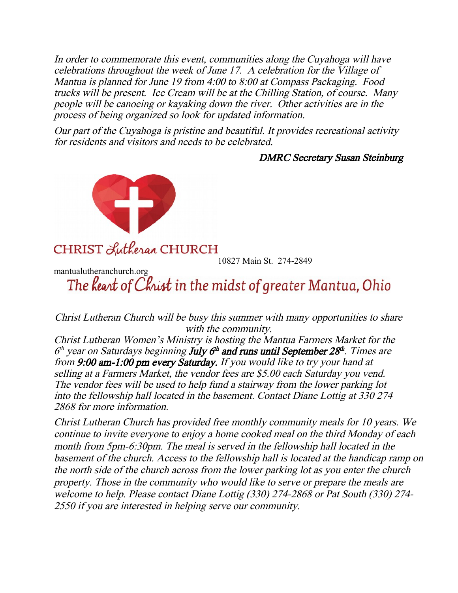In order to commemorate this event, communities along the Cuyahoga will have celebrations throughout the week of June 17. A celebration for the Village of Mantua is planned for June 19 from 4:00 to 8:00 at Compass Packaging. Food trucks will be present. Ice Cream will be at the Chilling Station, of course. Many people will be canoeing or kayaking down the river. Other activities are in the process of being organized so look for updated information.

Our part of the Cuyahoga is pristine and beautiful. It provides recreational activity for residents and visitors and needs to be celebrated.

DMRC Secretary Susan Steinburg



CHRIST Lutheran CHURCH

10827 Main St. 274-2849

mantualutheranchurch.org<br>The **keart of Christ** in the midst of greater Mantua, Ohio

Christ Lutheran Church will be busy this summer with many opportunities to share with the community.

Christ Lutheran Women's Ministry is hosting the Mantua Farmers Market for the  $6<sup>th</sup>$  year on Saturdays beginning **July**  $6<sup>th</sup>$  **and runs until September 28<sup>th</sup>. Times are** from 9:00 am-1:00 pm every Saturday. If you would like to try your hand at selling at a Farmers Market, the vendor fees are \$5.00 each Saturday you vend. The vendor fees will be used to help fund a stairway from the lower parking lot into the fellowship hall located in the basement. Contact Diane Lottig at 330 274 2868 for more information.

Christ Lutheran Church has provided free monthly community meals for 10 years. We continue to invite everyone to enjoy a home cooked meal on the third Monday of each month from 5pm-6:30pm. The meal is served in the fellowship hall located in the basement of the church. Access to the fellowship hall is located at the handicap ramp on the north side of the church across from the lower parking lot as you enter the church property. Those in the community who would like to serve or prepare the meals are welcome to help. Please contact Diane Lottig (330) 274-2868 or Pat South (330) 274- 2550 if you are interested in helping serve our community.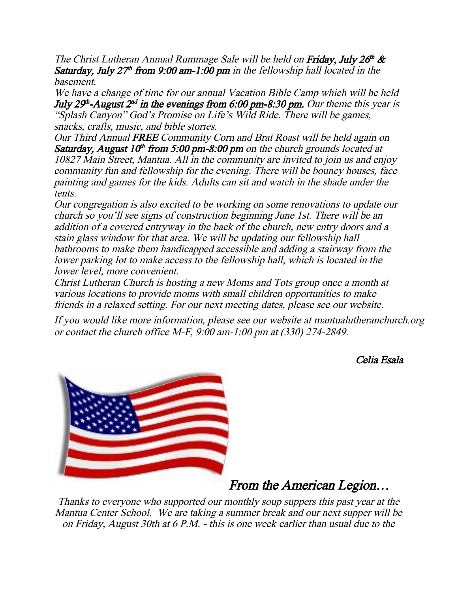The Christ Lutheran Annual Rummage Sale will be held on Friday, July  $26<sup>th</sup>$  & Saturday, July  $27<sup>th</sup>$  from 9:00 am-1:00 pm in the fellowship hall located in the basement.

We have a change of time for our annual Vacation Bible Camp which will be held July 29<sup>th</sup>-August  $2<sup>nd</sup>$  in the evenings from 6:00 pm-8:30 pm. Our theme this year is "Splash Canyon" God's Promise on Life's Wild Ride. There will be games, snacks, crafts, music, and bible stories.

Our Third Annual FREE Community Corn and Brat Roast will be held again on Saturday, August 10<sup>th</sup> from 5:00 pm-8:00 pm on the church grounds located at 10827 Main Street, Mantua. All in the community are invited to join us and enjoy community fun and fellowship for the evening. There will be bouncy houses, face painting and games for the kids. Adults can sit and watch in the shade under the tents.

Our congregation is also excited to be working on some renovations to update our church so you'll see signs of construction beginning June 1st. There will be an addition of a covered entryway in the back of the church, new entry doors and a stain glass window for that area. We will be updating our fellowship hall bathrooms to make them handicapped accessible and adding a stairway from the lower parking lot to make access to the fellowship hall, which is located in the lower level, more convenient.

Christ Lutheran Church is hosting a new Moms and Tots group once a month at various locations to provide moms with small children opportunities to make friends in a relaxed setting. For our next meeting dates, please see our website.

If you would like more information, please see our website at mantualutheranchurch.org or contact the church office M-F, 9:00 am-1:00 pm at (330) 274-2849.

Celia Esala



## From the American Legion…

Thanks to everyone who supported our monthly soup suppers this past year at the Mantua Center School. We are taking a summer break and our next supper will be on Friday, August 30th at 6 P.M. - this is one week earlier than usual due to the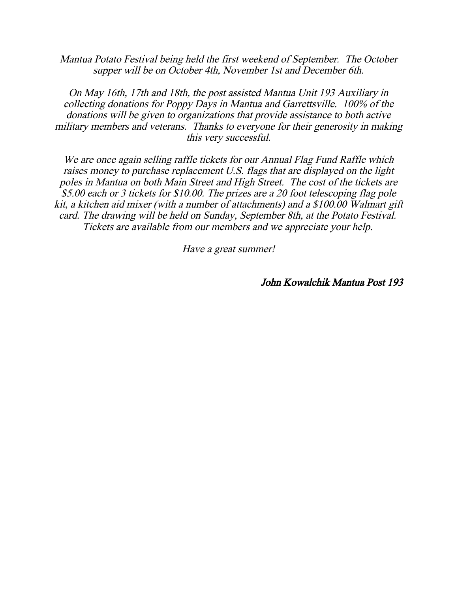Mantua Potato Festival being held the first weekend of September. The October supper will be on October 4th, November 1st and December 6th.

On May 16th, 17th and 18th, the post assisted Mantua Unit 193 Auxiliary in collecting donations for Poppy Days in Mantua and Garrettsville. 100% of the donations will be given to organizations that provide assistance to both active military members and veterans. Thanks to everyone for their generosity in making this very successful.

We are once again selling raffle tickets for our Annual Flag Fund Raffle which raises money to purchase replacement U.S. flags that are displayed on the light poles in Mantua on both Main Street and High Street. The cost of the tickets are \$5.00 each or 3 tickets for \$10.00. The prizes are a 20 foot telescoping flag pole kit, a kitchen aid mixer (with a number of attachments) and a \$100.00 Walmart gift card. The drawing will be held on Sunday, September 8th, at the Potato Festival. Tickets are available from our members and we appreciate your help.

Have a great summer!

John Kowalchik Mantua Post 193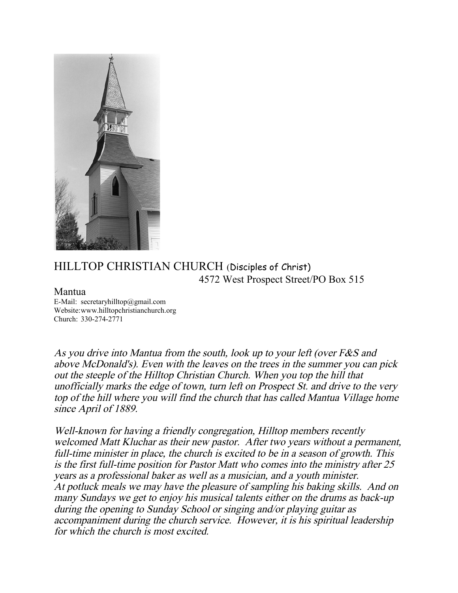

## HILLTOP CHRISTIAN CHURCH (Disciples of Christ) 4572 West Prospect Street/PO Box 515

#### Mantua

E-Mail: secretaryhilltop@gmail.com Website:www.hilltopchristianchurch.org Church: 330-274-2771

As you drive into Mantua from the south, look up to your left (over F&S and above McDonald's). Even with the leaves on the trees in the summer you can pick out the steeple of the Hilltop Christian Church. When you top the hill that unofficially marks the edge of town, turn left on Prospect St. and drive to the very top of the hill where you will find the church that has called Mantua Village home since April of 1889.

Well-known for having a friendly congregation, Hilltop members recently welcomed Matt Kluchar as their new pastor. After two years without a permanent, full-time minister in place, the church is excited to be in a season of growth. This is the first full-time position for Pastor Matt who comes into the ministry after 25 years as a professional baker as well as a musician, and a youth minister. At potluck meals we may have the pleasure of sampling his baking skills. And on many Sundays we get to enjoy his musical talents either on the drums as back-up during the opening to Sunday School or singing and/or playing guitar as accompaniment during the church service. However, it is his spiritual leadership for which the church is most excited.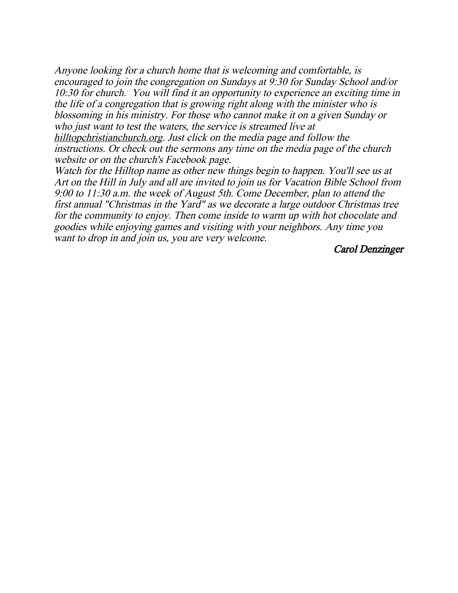Anyone looking for a church home that is welcoming and comfortable, is encouraged to join the congregation on Sundays at 9:30 for Sunday School and/or 10:30 for church. You will find it an opportunity to experience an exciting time in the life of a congregation that is growing right along with the minister who is blossoming in his ministry. For those who cannot make it on a given Sunday or who just want to test the waters, the service is streamed live at

hilltopchristianchurch.org. Just click on the media page and follow the instructions. Or check out the sermons any time on the media page of the church website or on the church's Facebook page.

Watch for the Hilltop name as other new things begin to happen. You'll see us at Art on the Hill in July and all are invited to join us for Vacation Bible School from 9:00 to 11:30 a.m. the week of August 5th. Come December, plan to attend the first annual "Christmas in the Yard" as we decorate a large outdoor Christmas tree for the community to enjoy. Then come inside to warm up with hot chocolate and goodies while enjoying games and visiting with your neighbors. Any time you want to drop in and join us, you are very welcome.

Carol Denzinger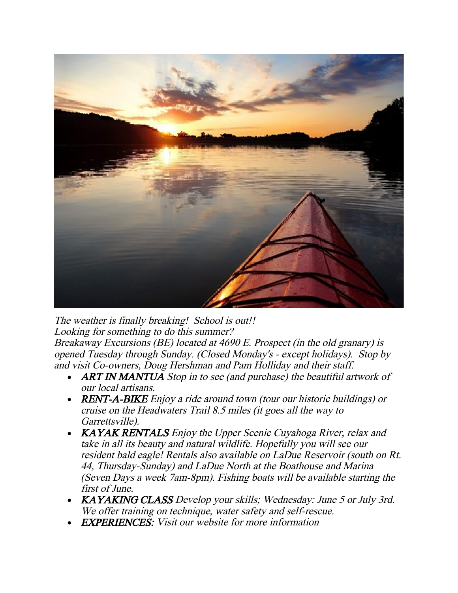

The weather is finally breaking! School is out!! Looking for something to do this summer? Breakaway Excursions (BE) located at 4690 E. Prospect (in the old granary) is opened Tuesday through Sunday. (Closed Monday's - except holidays). Stop by and visit Co-owners, Doug Hershman and Pam Holliday and their staff.

- ART IN MANTUA Stop in to see (and purchase) the beautiful artwork of our local artisans.
- **RENT-A-BIKE** Enjoy a ride around town (tour our historic buildings) or cruise on the Headwaters Trail 8.5 miles (it goes all the way to Garrettsville).
- KAYAK RENTALS Enjoy the Upper Scenic Cuyahoga River, relax and take in all its beauty and natural wildlife. Hopefully you will see our resident bald eagle! Rentals also available on LaDue Reservoir (south on Rt. 44, Thursday-Sunday) and LaDue North at the Boathouse and Marina (Seven Days a week 7am-8pm). Fishing boats will be available starting the first of June.
- KAYAKING CLASS Develop your skills; Wednesday: June 5 or July 3rd. We offer training on technique, water safety and self-rescue.
- EXPERIENCES: Visit our website for more information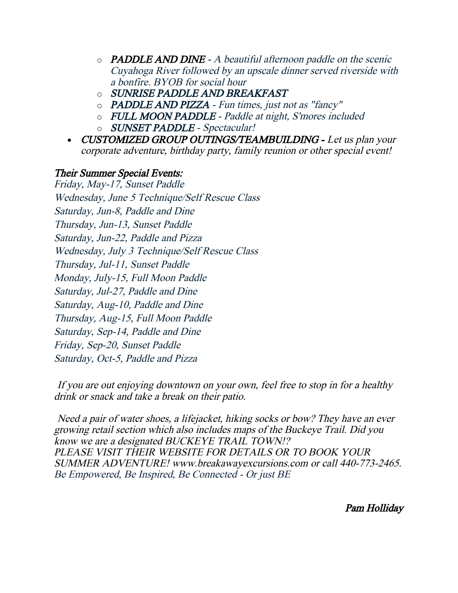- $\circ$  **PADDLE AND DINE** A beautiful afternoon paddle on the scenic Cuyahoga River followed by an upscale dinner served riverside with a bonfire. BYOB for social hour
- o SUNRISE PADDLE AND BREAKFAST
- o PADDLE AND PIZZA Fun times, just not as "fancy"
- o FULL MOON PADDLE Paddle at night, S'mores included
- o SUNSET PADDLE Spectacular!
- CUSTOMIZED GROUP OUTINGS/TEAMBUILDING Let us plan your corporate adventure, birthday party, family reunion or other special event!

### Their Summer Special Events:

Friday, May-17, Sunset Paddle Wednesday, June 5 Technique/Self Rescue Class Saturday, Jun-8, Paddle and Dine Thursday, Jun-13, Sunset Paddle Saturday, Jun-22, Paddle and Pizza Wednesday, July 3 Technique/Self Rescue Class Thursday, Jul-11, Sunset Paddle Monday, July-15, Full Moon Paddle Saturday, Jul-27, Paddle and Dine Saturday, Aug-10, Paddle and Dine Thursday, Aug-15, Full Moon Paddle Saturday, Sep-14, Paddle and Dine Friday, Sep-20, Sunset Paddle Saturday, Oct-5, Paddle and Pizza

If you are out enjoying downtown on your own, feel free to stop in for a healthy drink or snack and take a break on their patio.

Need a pair of water shoes, a lifejacket, hiking socks or bow? They have an ever growing retail section which also includes maps of the Buckeye Trail. Did you know we are a designated BUCKEYE TRAIL TOWN!? PLEASE VISIT THEIR WEBSITE FOR DETAILS OR TO BOOK YOUR SUMMER ADVENTURE! www.breakawayexcursions.com or call 440-773-2465. Be Empowered, Be Inspired, Be Connected - Or just BE

Pam Holliday